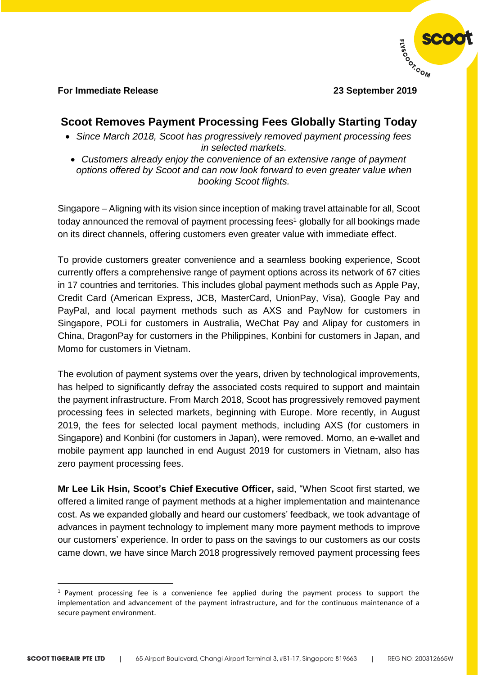

### **For Immediate Release 23 September 2019**

 $\overline{a}$ 

# **Scoot Removes Payment Processing Fees Globally Starting Today**

- *Since March 2018, Scoot has progressively removed payment processing fees in selected markets.*
- *Customers already enjoy the convenience of an extensive range of payment options offered by Scoot and can now look forward to even greater value when booking Scoot flights.*

Singapore – Aligning with its vision since inception of making travel attainable for all, Scoot today announced the removal of payment processing fees<sup>1</sup> globally for all bookings made on its direct channels, offering customers even greater value with immediate effect.

To provide customers greater convenience and a seamless booking experience, Scoot currently offers a comprehensive range of payment options across its network of 67 cities in 17 countries and territories. This includes global payment methods such as Apple Pay, Credit Card (American Express, JCB, MasterCard, UnionPay, Visa), Google Pay and PayPal, and local payment methods such as AXS and PayNow for customers in Singapore, POLi for customers in Australia, WeChat Pay and Alipay for customers in China, DragonPay for customers in the Philippines, Konbini for customers in Japan, and Momo for customers in Vietnam.

The evolution of payment systems over the years, driven by technological improvements, has helped to significantly defray the associated costs required to support and maintain the payment infrastructure. From March 2018, Scoot has progressively removed payment processing fees in selected markets, beginning with Europe. More recently, in August 2019, the fees for selected local payment methods, including AXS (for customers in Singapore) and Konbini (for customers in Japan), were removed. Momo, an e-wallet and mobile payment app launched in end August 2019 for customers in Vietnam, also has zero payment processing fees.

**Mr Lee Lik Hsin, Scoot's Chief Executive Officer,** said, "When Scoot first started, we offered a limited range of payment methods at a higher implementation and maintenance cost. As we expanded globally and heard our customers' feedback, we took advantage of advances in payment technology to implement many more payment methods to improve our customers' experience. In order to pass on the savings to our customers as our costs came down, we have since March 2018 progressively removed payment processing fees

<sup>&</sup>lt;sup>1</sup> Payment processing fee is a convenience fee applied during the payment process to support the implementation and advancement of the payment infrastructure, and for the continuous maintenance of a secure payment environment.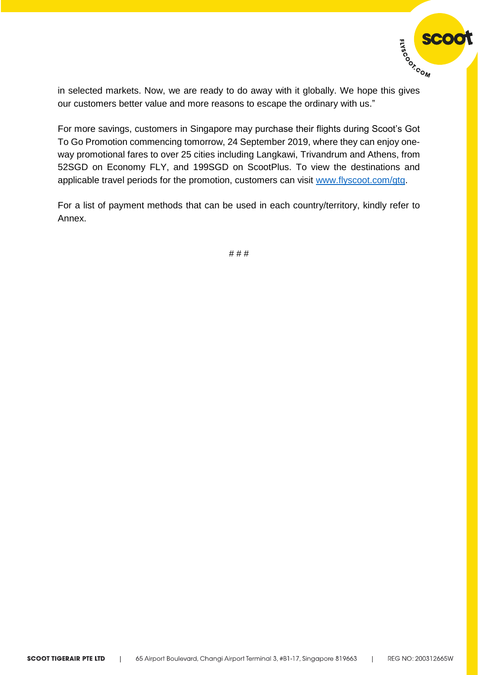

in selected markets. Now, we are ready to do away with it globally. We hope this gives our customers better value and more reasons to escape the ordinary with us."

For more savings, customers in Singapore may purchase their flights during Scoot's Got To Go Promotion commencing tomorrow, 24 September 2019, where they can enjoy oneway promotional fares to over 25 cities including Langkawi, Trivandrum and Athens, from 52SGD on Economy FLY, and 199SGD on ScootPlus. To view the destinations and applicable travel periods for the promotion, customers can visit [www.flyscoot.com/gtg.](http://www.flyscoot.com/gtg)

For a list of payment methods that can be used in each country/territory, kindly refer to Annex.

# # #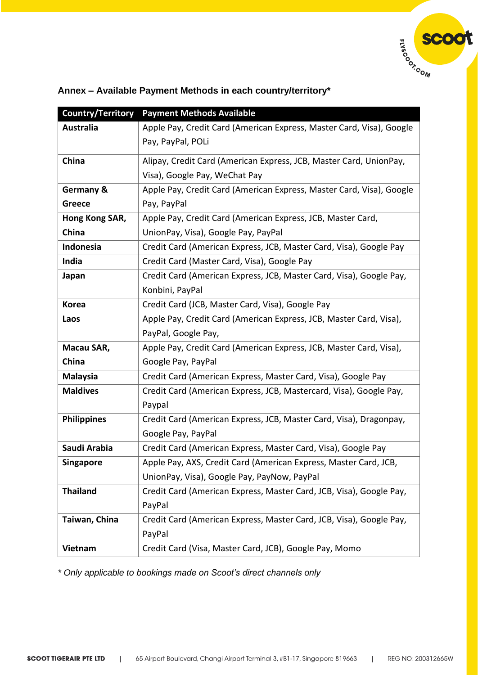

| Country/Territory  | <b>Payment Methods Available</b>                                     |
|--------------------|----------------------------------------------------------------------|
| <b>Australia</b>   | Apple Pay, Credit Card (American Express, Master Card, Visa), Google |
|                    | Pay, PayPal, POLi                                                    |
| China              | Alipay, Credit Card (American Express, JCB, Master Card, UnionPay,   |
|                    | Visa), Google Pay, WeChat Pay                                        |
| Germany &          | Apple Pay, Credit Card (American Express, Master Card, Visa), Google |
| Greece             | Pay, PayPal                                                          |
| Hong Kong SAR,     | Apple Pay, Credit Card (American Express, JCB, Master Card,          |
| China              | UnionPay, Visa), Google Pay, PayPal                                  |
| Indonesia          | Credit Card (American Express, JCB, Master Card, Visa), Google Pay   |
| India              | Credit Card (Master Card, Visa), Google Pay                          |
| Japan              | Credit Card (American Express, JCB, Master Card, Visa), Google Pay,  |
|                    | Konbini, PayPal                                                      |
| <b>Korea</b>       | Credit Card (JCB, Master Card, Visa), Google Pay                     |
| Laos               | Apple Pay, Credit Card (American Express, JCB, Master Card, Visa),   |
|                    | PayPal, Google Pay,                                                  |
| Macau SAR,         | Apple Pay, Credit Card (American Express, JCB, Master Card, Visa),   |
| China              | Google Pay, PayPal                                                   |
| <b>Malaysia</b>    | Credit Card (American Express, Master Card, Visa), Google Pay        |
| <b>Maldives</b>    | Credit Card (American Express, JCB, Mastercard, Visa), Google Pay,   |
|                    | Paypal                                                               |
| <b>Philippines</b> | Credit Card (American Express, JCB, Master Card, Visa), Dragonpay,   |
|                    | Google Pay, PayPal                                                   |
| Saudi Arabia       | Credit Card (American Express, Master Card, Visa), Google Pay        |
| <b>Singapore</b>   | Apple Pay, AXS, Credit Card (American Express, Master Card, JCB,     |
|                    | UnionPay, Visa), Google Pay, PayNow, PayPal                          |
| <b>Thailand</b>    | Credit Card (American Express, Master Card, JCB, Visa), Google Pay,  |
|                    | PayPal                                                               |
| Taiwan, China      | Credit Card (American Express, Master Card, JCB, Visa), Google Pay,  |
|                    | PayPal                                                               |
| Vietnam            | Credit Card (Visa, Master Card, JCB), Google Pay, Momo               |
|                    |                                                                      |

# **Annex – Available Payment Methods in each country/territory\***

*\* Only applicable to bookings made on Scoot's direct channels only*